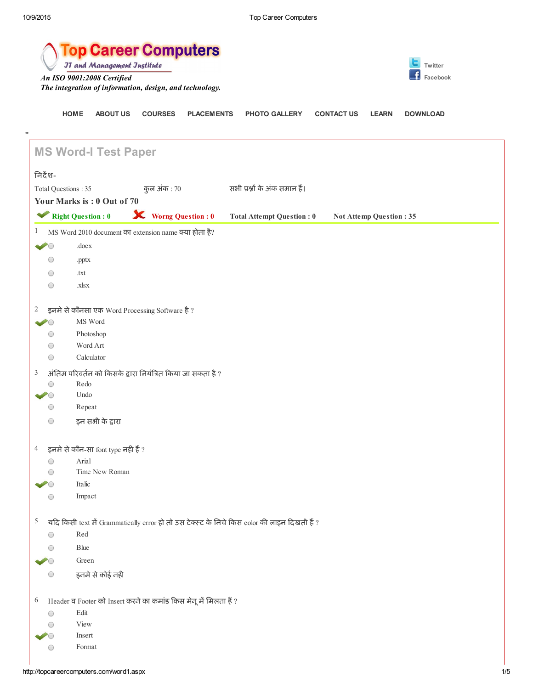|                     | <b>Top Career Computers</b><br><b>JT and Management Jnstitute</b><br>Twitter          |                             |                   |                                                                                              |                   |                         |                 |
|---------------------|---------------------------------------------------------------------------------------|-----------------------------|-------------------|----------------------------------------------------------------------------------------------|-------------------|-------------------------|-----------------|
|                     | An ISO 9001:2008 Certified<br>The integration of information, design, and technology. |                             |                   |                                                                                              |                   |                         | Facebook        |
|                     | <b>HOME</b><br><b>ABOUT US</b>                                                        | <b>COURSES</b>              | <b>PLACEMENTS</b> | <b>PHOTO GALLERY</b>                                                                         | <b>CONTACT US</b> | <b>LEARN</b>            | <b>DOWNLOAD</b> |
| .,                  | <b>MS Word-I Test Paper</b>                                                           |                             |                   |                                                                                              |                   |                         |                 |
| निर्देश-            |                                                                                       |                             |                   |                                                                                              |                   |                         |                 |
| Total Questions: 35 |                                                                                       | कुल अंक : 70                |                   | सभी प्रश्नों के अंक समान हैं।                                                                |                   |                         |                 |
|                     | Your Marks is: 0 Out of 70                                                            |                             |                   |                                                                                              |                   |                         |                 |
|                     | Right Question : 0                                                                    | <b>X</b> Worng Question : 0 |                   | <b>Total Attempt Question: 0</b>                                                             |                   | Not Attemp Question: 35 |                 |
| 1                   | MS Word 2010 document का extension name क्या होता है?                                 |                             |                   |                                                                                              |                   |                         |                 |
|                     | .docx                                                                                 |                             |                   |                                                                                              |                   |                         |                 |
| $\bigcirc$          | .pptx                                                                                 |                             |                   |                                                                                              |                   |                         |                 |
| $\bigcirc$          | .txt                                                                                  |                             |                   |                                                                                              |                   |                         |                 |
| $\bigcirc$          | .xlsx                                                                                 |                             |                   |                                                                                              |                   |                         |                 |
|                     |                                                                                       |                             |                   |                                                                                              |                   |                         |                 |
| 2                   | इनमे से कौनसा एक Word Processing Software है ?<br>MS Word                             |                             |                   |                                                                                              |                   |                         |                 |
| $\bigcirc$          | Photoshop                                                                             |                             |                   |                                                                                              |                   |                         |                 |
| $\bigcirc$          | Word Art                                                                              |                             |                   |                                                                                              |                   |                         |                 |
| $\bigcirc$          | Calculator                                                                            |                             |                   |                                                                                              |                   |                         |                 |
| 3                   | अंतिम परिवर्तन को किसके द्वारा नियंत्रित किया जा सकता है ?                            |                             |                   |                                                                                              |                   |                         |                 |
| O                   | Redo                                                                                  |                             |                   |                                                                                              |                   |                         |                 |
|                     | Undo                                                                                  |                             |                   |                                                                                              |                   |                         |                 |
| $\bigcirc$          | Repeat                                                                                |                             |                   |                                                                                              |                   |                         |                 |
| $\bigcirc$          | इन सभी के द्वारा                                                                      |                             |                   |                                                                                              |                   |                         |                 |
| 4                   | इनमे से कौन-सा font type नही हैं ?                                                    |                             |                   |                                                                                              |                   |                         |                 |
| $\bigcirc$          | Arial                                                                                 |                             |                   |                                                                                              |                   |                         |                 |
| $\bigcirc$          | Time New Roman                                                                        |                             |                   |                                                                                              |                   |                         |                 |
|                     | Italic                                                                                |                             |                   |                                                                                              |                   |                         |                 |
| $\bigcirc$          | Impact                                                                                |                             |                   |                                                                                              |                   |                         |                 |
| 5                   |                                                                                       |                             |                   | यदि किसी text में Grammatically error हो तो उस टेक्स्ट के निचे किस color की लाइन दिखती हैं ? |                   |                         |                 |
| $\bigcirc$          | Red                                                                                   |                             |                   |                                                                                              |                   |                         |                 |
| (                   | Blue                                                                                  |                             |                   |                                                                                              |                   |                         |                 |
|                     | Green                                                                                 |                             |                   |                                                                                              |                   |                         |                 |
| $\bigcirc$          | इनमे से कोई नही                                                                       |                             |                   |                                                                                              |                   |                         |                 |
| 6                   | Header व Footer को Insert करने का कमांड किस मेनू में मिलता हैं ?                      |                             |                   |                                                                                              |                   |                         |                 |
| $\bigcirc$          | Edit                                                                                  |                             |                   |                                                                                              |                   |                         |                 |
| $\left( \right)$    | View                                                                                  |                             |                   |                                                                                              |                   |                         |                 |
|                     | Insert                                                                                |                             |                   |                                                                                              |                   |                         |                 |

Format

 $\bigcirc$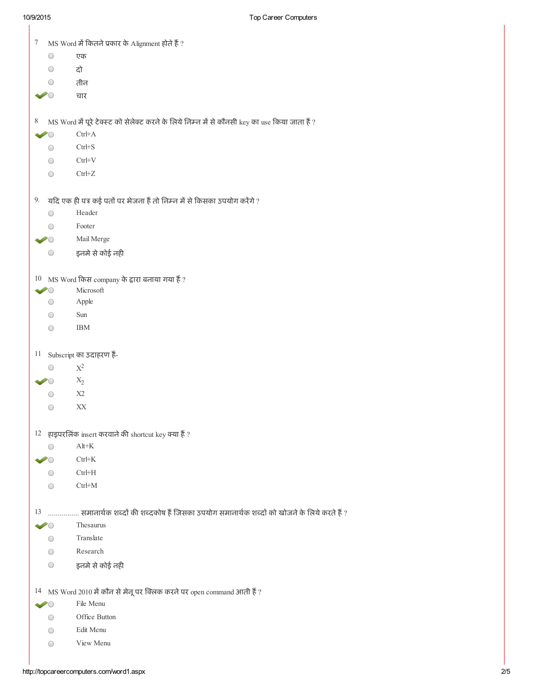| 7                      | MS Word में कितने प्रकार के Alignment होते हैं ?                                               |
|------------------------|------------------------------------------------------------------------------------------------|
| $\bigcirc$             | एक                                                                                             |
| ○                      | दो                                                                                             |
|                        | तीन                                                                                            |
|                        | चार                                                                                            |
| 8                      | MS Word में पूरे टेक्स्ट को सेलेक्ट करने के लिये निम्न में से कौनसी key का use किया जाता हैं ? |
|                        | $Ctrl+A$                                                                                       |
| O                      | $Ctrl + S$                                                                                     |
| ◯                      | $CtrH+V$                                                                                       |
| O                      | $Ctrl + Z$                                                                                     |
|                        | $9.$ यदि एक ही पत्र कई पतों पर भेजना हैं तो निम्न में से किसका उपयोग करेंगे ?                  |
| O                      | Header                                                                                         |
|                        | Footer                                                                                         |
|                        | Mail Merge                                                                                     |
| 0                      | इनमे से कोई नही                                                                                |
|                        |                                                                                                |
|                        | $10$ MS Word किस company के द्वारा बनाया गया हैं ?<br>Microsoft                                |
| ○                      | Apple                                                                                          |
| ∩                      | Sun                                                                                            |
| $( \ )$                | <b>IBM</b>                                                                                     |
| 11                     | Subscript का उदाहरण हैं-                                                                       |
| O                      | $\mathbf{X}^2$                                                                                 |
|                        | $X_2$                                                                                          |
|                        | X2                                                                                             |
|                        | XX                                                                                             |
|                        | $12$ हाइपरलिंक insert करवाने की shortcut key क्या हैं?                                         |
| O                      | $Alt+K$                                                                                        |
| $\geq$ $\cap$          | $Ctrl+K$                                                                                       |
| O                      | $Ctrl+H$                                                                                       |
| $\scriptstyle\bigcirc$ | $Ctrl+M$                                                                                       |
|                        |                                                                                                |
|                        | समानार्थक शब्दों की शब्दकोष हैं जिसका उपयोग समानार्थक शब्दों को खोजने के लिये करते हैं ?       |
| 13                     |                                                                                                |
| $\dot{ }$ $\dot{ }$    | Thesaurus                                                                                      |
| ∩                      | Translate                                                                                      |
| ◯                      | Research                                                                                       |
| O                      | इनमे से कोई नही                                                                                |
|                        | $14$ MS Word 2010 में कौन से मेनू पर क्लिक करने पर open command आती हैं ?                      |
| $\dot{\mathcal{C}}$    | File Menu                                                                                      |
| O                      | Office Button                                                                                  |
| ○                      | Edit Menu                                                                                      |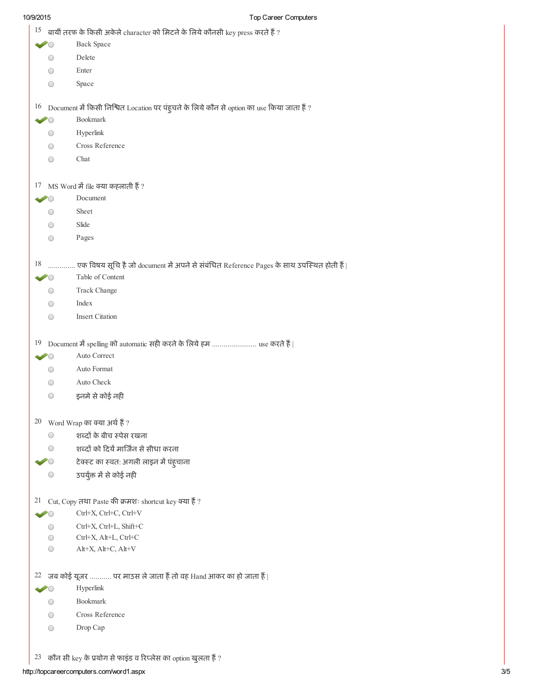| 15                     | बायीं तरफ के किसी अकेले character को मिटने के लिये कौनसी key press करते हैं ?                   |
|------------------------|-------------------------------------------------------------------------------------------------|
|                        | <b>Back Space</b>                                                                               |
| O                      | Delete                                                                                          |
| $\bigcirc$             | Enter                                                                                           |
| ○                      | Space                                                                                           |
|                        |                                                                                                 |
|                        | $16$ Document में किसी निश्चित Location पर पंहुचने के लिये कौन से option का use किया जाता हैं ? |
| $\sim$                 | Bookmark                                                                                        |
| O                      | Hyperlink                                                                                       |
| ○                      | Cross Reference                                                                                 |
| O                      | Chat                                                                                            |
| 17                     | MS Word में file क्या कहलाती हैं ?                                                              |
|                        | Document                                                                                        |
| ○                      | Sheet                                                                                           |
|                        |                                                                                                 |
| 0                      | Slide                                                                                           |
| O                      | Pages                                                                                           |
| 18                     | एक विषय सूचि है जो document में अपने से संबंधित Reference Pages के साथ उपस्थित होती हैं         |
|                        | Table of Content                                                                                |
| $^{\rm ()}$            | Track Change                                                                                    |
| $\scriptstyle\bigcirc$ | Index                                                                                           |
| O                      | <b>Insert Citation</b>                                                                          |
|                        |                                                                                                 |
| 19                     |                                                                                                 |
| $\dot{\mathcal{C}}$    | Auto Correct                                                                                    |
| ○                      | Auto Format                                                                                     |
| O                      | Auto Check                                                                                      |
| O                      | इनमे से कोई नही                                                                                 |
|                        | $20$ Word Wrap का क्या अर्थ हैं ?                                                               |
| O                      | शब्दों के बीच स्पेस रखना                                                                        |
| ○                      | शब्दों को दियें मार्जिन से सीधा करना                                                            |
|                        |                                                                                                 |
|                        | टेक्स्ट का स्वत: अगली लाइन में पंह्चाना                                                         |
|                        | उपर्युक्त में से कोई नही                                                                        |
| 21                     | Cut, Copy तथा Paste की क्रमशः shortcut key क्या हैं?                                            |
|                        | Ctrl+X, Ctrl+C, Ctrl+V                                                                          |
| $\bigcirc$             | Ctrl+X, Ctrl+L, Shift+C                                                                         |
| O                      | Ctrl+X, Alt+L, Ctrl+C                                                                           |
| O                      | Alt+X, Alt+C, Alt+V                                                                             |
|                        | 22 जब कोई यूजर  पर माउस ले जाता हैं तो वह Hand आकर का हो जाता हैं                               |
|                        | Hyperlink                                                                                       |
| ○                      | <b>Bookmark</b>                                                                                 |
|                        | Cross Reference                                                                                 |
| O                      |                                                                                                 |
| ○                      | Drop Cap                                                                                        |
| 23                     | कौन सी key के प्रयोग से फाइंड व रिप्लेस का option खुलता हैं ?                                   |
|                        |                                                                                                 |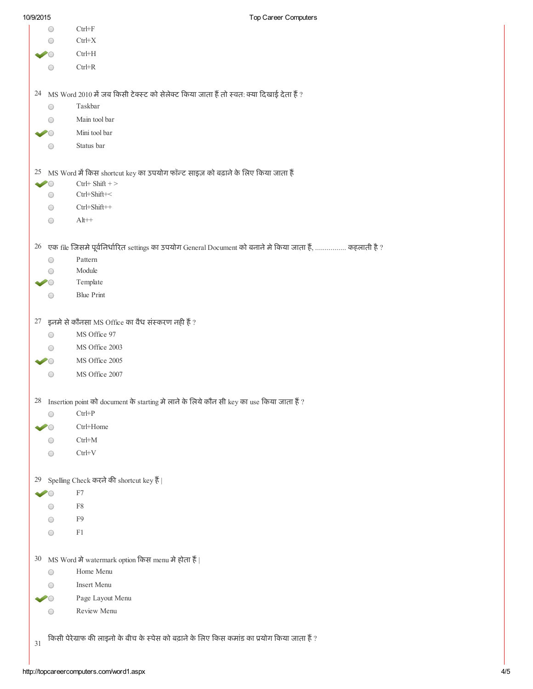| $\mbox{Ctrl+}X$<br>$Ctrl+H$<br>$Ctrl + R$<br>$24$ MS Word 2010 में जब किसी टेक्स्ट को सेलेक्ट किया जाता हैं तो स्वत: क्या दिखाई देता हैं ?<br>Taskbar<br>Main tool bar<br>Mini tool bar<br>Status bar<br>$25$ MS Word में किस shortcut key का उपयोग फॉन्ट साइज़ को बढ़ाने के लिए किया जाता हैं<br>$Ctrl+ Shift + >$<br>$Ctrl + Shift + <$<br>$Ctrl + Shift + +$<br>$Alt++$<br>26 एक file जिसमे पूर्वनिर्धारित settings का उपयोग General Document को बनाने मे किया जाता हैं,  कहलाती है ?<br>Pattern<br>Module<br>Template<br><b>Blue Print</b><br>$27$ इनमे से कौनसा MS Office का वैध संस्करण नही हैं ?<br>MS Office 97<br>MS Office 2003<br>MS Office 2005<br>MS Office 2007 |
|-------------------------------------------------------------------------------------------------------------------------------------------------------------------------------------------------------------------------------------------------------------------------------------------------------------------------------------------------------------------------------------------------------------------------------------------------------------------------------------------------------------------------------------------------------------------------------------------------------------------------------------------------------------------------------|
|                                                                                                                                                                                                                                                                                                                                                                                                                                                                                                                                                                                                                                                                               |
|                                                                                                                                                                                                                                                                                                                                                                                                                                                                                                                                                                                                                                                                               |
|                                                                                                                                                                                                                                                                                                                                                                                                                                                                                                                                                                                                                                                                               |
|                                                                                                                                                                                                                                                                                                                                                                                                                                                                                                                                                                                                                                                                               |
|                                                                                                                                                                                                                                                                                                                                                                                                                                                                                                                                                                                                                                                                               |
|                                                                                                                                                                                                                                                                                                                                                                                                                                                                                                                                                                                                                                                                               |
|                                                                                                                                                                                                                                                                                                                                                                                                                                                                                                                                                                                                                                                                               |
|                                                                                                                                                                                                                                                                                                                                                                                                                                                                                                                                                                                                                                                                               |
|                                                                                                                                                                                                                                                                                                                                                                                                                                                                                                                                                                                                                                                                               |
|                                                                                                                                                                                                                                                                                                                                                                                                                                                                                                                                                                                                                                                                               |
|                                                                                                                                                                                                                                                                                                                                                                                                                                                                                                                                                                                                                                                                               |
|                                                                                                                                                                                                                                                                                                                                                                                                                                                                                                                                                                                                                                                                               |
|                                                                                                                                                                                                                                                                                                                                                                                                                                                                                                                                                                                                                                                                               |
|                                                                                                                                                                                                                                                                                                                                                                                                                                                                                                                                                                                                                                                                               |
|                                                                                                                                                                                                                                                                                                                                                                                                                                                                                                                                                                                                                                                                               |
|                                                                                                                                                                                                                                                                                                                                                                                                                                                                                                                                                                                                                                                                               |
|                                                                                                                                                                                                                                                                                                                                                                                                                                                                                                                                                                                                                                                                               |
|                                                                                                                                                                                                                                                                                                                                                                                                                                                                                                                                                                                                                                                                               |
|                                                                                                                                                                                                                                                                                                                                                                                                                                                                                                                                                                                                                                                                               |
|                                                                                                                                                                                                                                                                                                                                                                                                                                                                                                                                                                                                                                                                               |
|                                                                                                                                                                                                                                                                                                                                                                                                                                                                                                                                                                                                                                                                               |
|                                                                                                                                                                                                                                                                                                                                                                                                                                                                                                                                                                                                                                                                               |
|                                                                                                                                                                                                                                                                                                                                                                                                                                                                                                                                                                                                                                                                               |
| <sup>28</sup> Insertion point को document के starting मे लाने के लिये कौन सी key का use किया जाता हैं ?                                                                                                                                                                                                                                                                                                                                                                                                                                                                                                                                                                       |
| $Ctrl + P$                                                                                                                                                                                                                                                                                                                                                                                                                                                                                                                                                                                                                                                                    |
| Ctrl+Home                                                                                                                                                                                                                                                                                                                                                                                                                                                                                                                                                                                                                                                                     |
| $Ctrl+M$                                                                                                                                                                                                                                                                                                                                                                                                                                                                                                                                                                                                                                                                      |
| $Ctrl+V$                                                                                                                                                                                                                                                                                                                                                                                                                                                                                                                                                                                                                                                                      |
| 29 Spelling Check करने की shortcut key हैं।                                                                                                                                                                                                                                                                                                                                                                                                                                                                                                                                                                                                                                   |
| F7                                                                                                                                                                                                                                                                                                                                                                                                                                                                                                                                                                                                                                                                            |
| ${\rm F}8$                                                                                                                                                                                                                                                                                                                                                                                                                                                                                                                                                                                                                                                                    |
| F9                                                                                                                                                                                                                                                                                                                                                                                                                                                                                                                                                                                                                                                                            |
| F1                                                                                                                                                                                                                                                                                                                                                                                                                                                                                                                                                                                                                                                                            |
| 30 MS Word में watermark option किस menu में होता हैं                                                                                                                                                                                                                                                                                                                                                                                                                                                                                                                                                                                                                         |
| Home Menu                                                                                                                                                                                                                                                                                                                                                                                                                                                                                                                                                                                                                                                                     |
| Insert Menu                                                                                                                                                                                                                                                                                                                                                                                                                                                                                                                                                                                                                                                                   |
| Page Layout Menu                                                                                                                                                                                                                                                                                                                                                                                                                                                                                                                                                                                                                                                              |
|                                                                                                                                                                                                                                                                                                                                                                                                                                                                                                                                                                                                                                                                               |
|                                                                                                                                                                                                                                                                                                                                                                                                                                                                                                                                                                                                                                                                               |